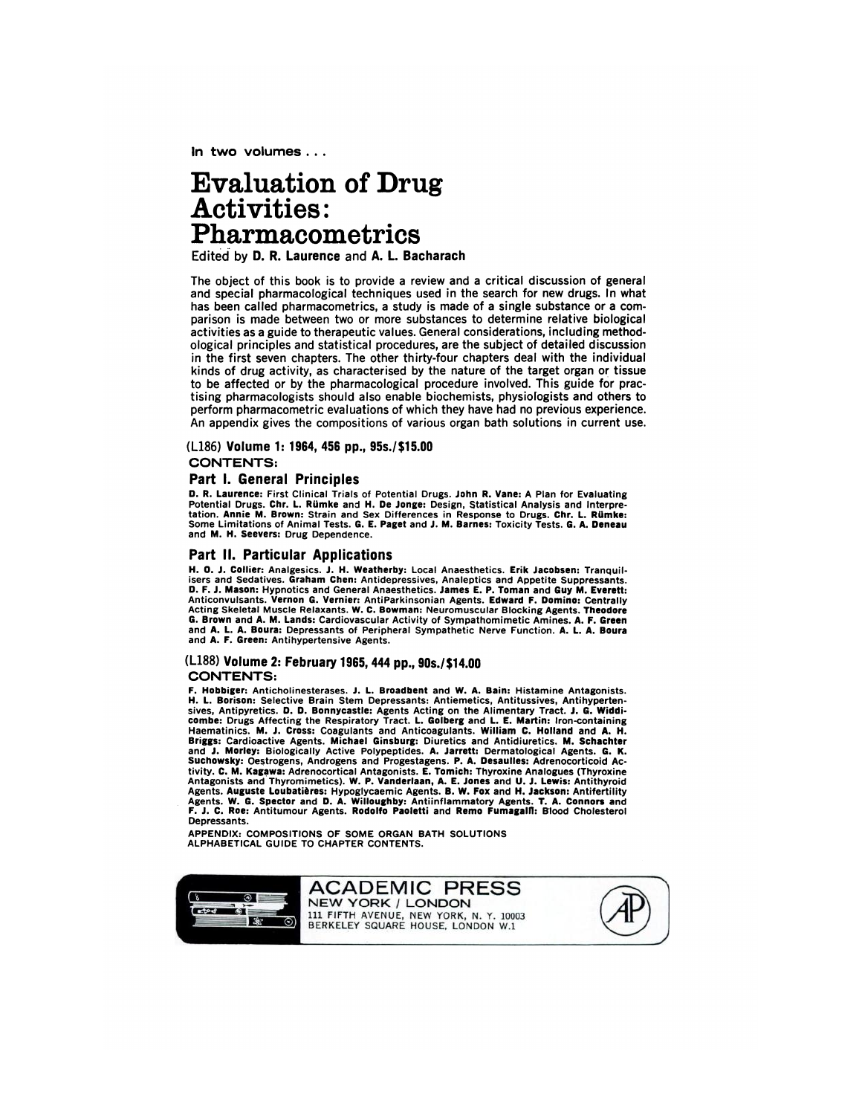In two **volumes** ...

# **Evaluation of Drug Activities: Pharmacometrics**

Edited **by 0. R. Laurence and A. L. Bacharach**

The object of this book is to provide a review and a critical discussion of general **and special pharmacological techniques used in the search** for new drugs. In what has been called pharmacometrics, a study is made of a single substance or a com parison is made between two or more substances to determine relative biological activities as a guide to therapeutic values. General considerations, including method ological principles and statistical procedures, are the subject of detailed discussion in the first seven chapters. The other thirty-four chapters deal with the individual **kinds of drug activity, as characterised by the nature** of **the target organ or** tissue to be affected or by the pharmacological procedure involved. This guide for practising pharmacologists should also enable biochemists, physiologists and others to perform pharmacometric evaluations of which they have had no previous experience. An appendix gives the compositions of various organ bath solutions in current use.

#### (L186) Volume 1: 1964, 456 **pp., 95s./\$1 5.00**

**CONTENTS:**

#### **Part I. General Principles**

D. **R. Laurence: First clinical Trials of Potential Drugs. John R. Vane: A Plan for Evaluating** Potential Drugs. Chr. L. Rumke and H. De Jonge: Design, Statistical Analysis and Interpre-<br>tation. Annie M. Brown: Strain and Sex Differences in Response to Drugs. Chr. L. Rümke:<br>Some Limitations of Animal Tests. G. E. Pag **and M. H. Seevers: Drug Dependence.**

# **Part II. Particular Applications**

**H. 0. J. Collier: Analgesics. J. H. Weatherby: Local Anaesthetics. Erik Jacobsen: Tranquil**isers and Sedatives. Graham Chen: Antidepressives, Analeptics and Appetite Suppressants.<br>D. F. J. Mason: Hypnotics and General Anaesthetics. James E. P. Toman and Guy M. Everett: **Anticonvulsants. Vernon G. Vernier: AntiParkinsonian Agents. Edward F. Domino: centrally Acting Skeletal Muscle Relaxants. W. C. Bowman: Neuromuscular Blocking Agents. Theodore G. Brown and A. M. Lands: cardiovascular Activity of Sympathomimetic Amines. A. F. Green and A. 1. A. Boura: Depressants of Peripheral Sympathetic Nerve Function. A. L. A. Boura and A. F. Green: Antihypertensive Agents.**

#### (L188) **Volume 2:February 1965, 444 pp., 90s./\$1 4.00 CONTENTS:**

**F. Hobbiger: Anticholinesterases. J. L. Broadbent and W.A. Bain: Histamine Antagonists.** H. L. Borison: Selective Brain Stem Depressants: Antiemetics, Antitussives, Antihyperten-<br>sives. Antipyretics. D. D. Bonnycastle: Agents Acting on the Alimentary Tract. J. G. Widdicombe: Drugs Affecting the Respiratory Tract. L. Golberg and L. E. Martin: Iron-containing<br>Haematinics. M. J. Cross: Coagulants and Anticoagulants. William C. Holland and A. H.<br>Briggs: Cardioactive Agents. Michael Ginsburg **Suchowsky: Oestrogens, Androgens and Progestagens. P. A. Desaulles: Adrenocorticoid Ac**tivity, C. M. Kagawa: Adrenocortical Antagonists. E. Tomich: Thyroxine Analogues (Thyroxine<br>Antagonists and Thyromimetics). W. P. Vanderlaan, A. E. Jones and U. J. Lewis: Antithyroid Agents. Auguste Loubatieres: Hypoglycaemic Agents. B. W. Fox and H. Jackson: Antifertility<br>Agents. W. G. Spector and D. A. Willoughby: Antiinflammatory Agents. T. A. Connors and<br>F. J. C. Roe: Antitumour Agents. Rodolfo Pao **Depressants.**

**APPENDIX: COMPOSITIONS OF SOME ORGAN BATH SOLUTIONS ALPHABETICAL GUIDE TO CHAPTER CONTENTS.**

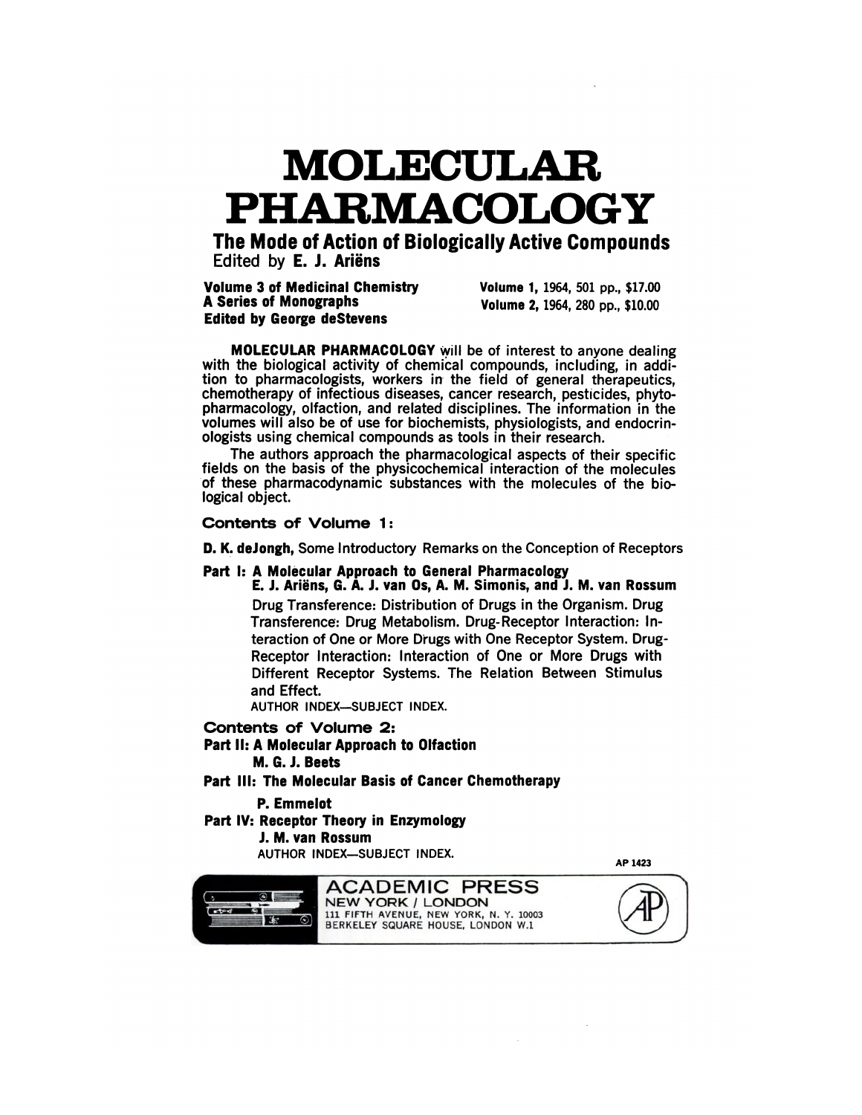# **MOLECULAR PHARMACOLOGY**

**The Mode of Action of Biologically Active Compounds Edited by E. J. Ariëns** 

**Volume 3 of Medicinal Chemistry Volume 1, 1964, 501 pp.,\$17.00 Edited by George deStevens**

**A Series of Monographs Volume 2,** 1964, 280 **pp., \$10.00**

**AP 1423**

**MOLECULAR PHARMACOLOGY will be of interest to anyone dealing** with the biological activity of chemical compounds, including, in addi**tion to pharmacologists, workers in the field of general therapeutics,** chemotherapy of infectious diseases, cancer research, pesticides, phyt **pharmacology, olfaction, and related disciplines. The information in the volumes will also be ofuse for biochemists, physiologists, and endocrinologists using chemical compounds as tools in their research.**

The authors approach the pharmacological aspects of their specific fields on the basis of the physicochemical interaction of the molecules of these pharmacodynamic substances with the molecules of the biological object.

# Contents of **Volume** 1:

D. K. deJongh, Some Introductory Remarks on the Conception of Receptors

## Part I: A Molecular Approach to General Pharmacology

**E. J. Ari#{235}ns, G. A. J. van Os, A. M. Simonis, and J. M. van Rossum** Drug Transference: Distribution of Drugs in the Organism. Drug Transference: Drug Metabolism. Drug-Receptor Interaction: Interaction of One or More Drugs with One Receptor System. Drug-Receptor Interaction: Interaction of One or More Drugs with Different Receptor Systems. The Relation Between Stimulus and Effect.

**AUTHOR INDEX-SUBJECT INDEX.**

# **Contents of Volume 2:**

**Part II: A Molecular Approach to Olfaction M. C. J. Beets**

Part **Ill: The Molecular Basis of Cancer Chemotherapy**

## **P. Emmelot**

**Part IV: Receptor Theory in Enzymology**

#### **J. M. van Rossum**

**AUTHOR INDEX-SUBJECT INDEX.**

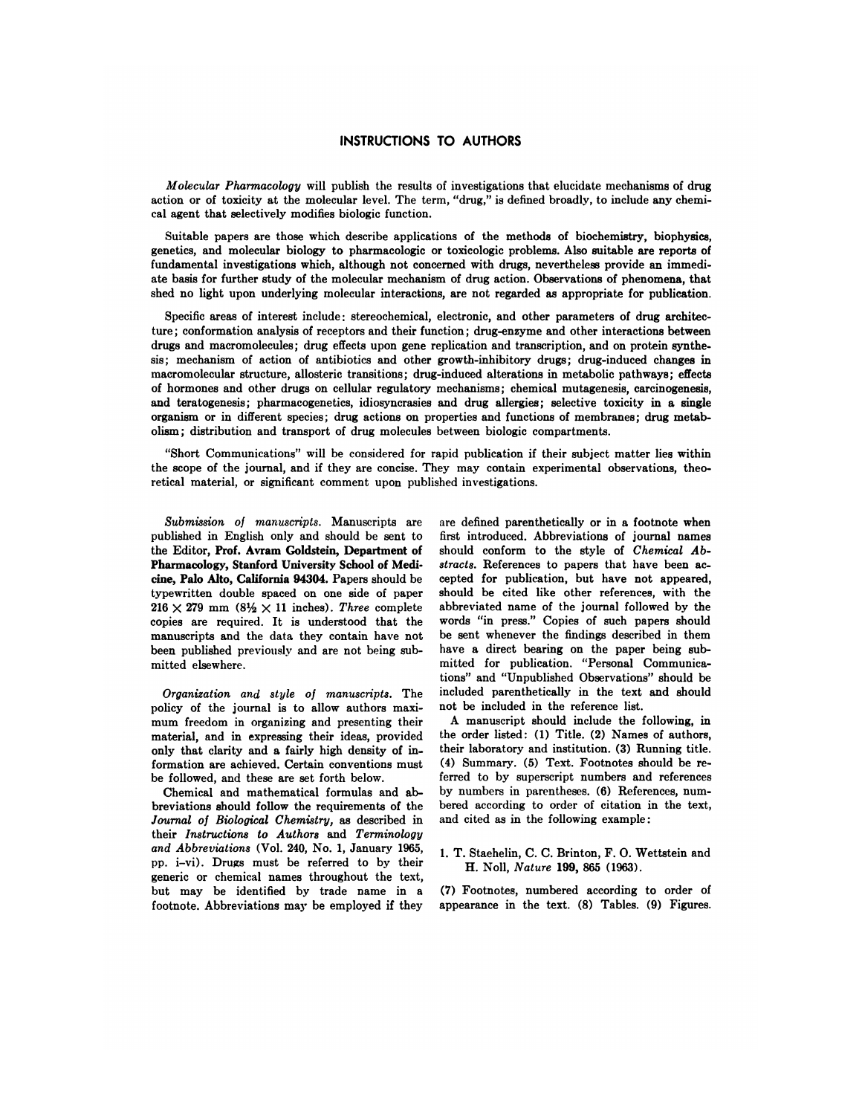#### **INSTRUCTIONS TO AUTHORS**

*Molecular Pharrnaco!ogy* **will publish the results of investigations that elucidate nmeehanisms of drug** action or of toxicity at the molecular level. The term, "drug," is defined broadly, to include any chemi cal agent that selectively modifies biologic function.

Suitable papers are those which describe applications of the methods of biochemistry, biophysics, genetics, and molecular biology to pharmacologic or toxicologic problems. Also suitable are reports of fundamental investigations which, although not concerned with drugs, nevertheless provide an immedi ate basis for further study of the molecular mechanism of drug action. Observations of phenomena, that shed no light **upon underlying molecular interactions, are not regarded as appropriate for publication.**

Specific areas of interest include; stereochemical, electronic, and other parameters of drug architec**ture; conformation analysis of receptors and their function; drug-enzyme and other interactions between drugs and macromolecules; drug effects upon gene replication and transcription, and on protein synthesis; mechanism of action of antibiotics and other growth-inhibitory drugs; drug-induced changes in macromolecular structure, allosteric** transitions; drug-induced alterations in metabolic pathways; effects **of hormones and other drugs on cellular regulatory** mechanisms; chemical miitagenesis, carcinogenesis, **and teratogenesis; pharmacogenetics, idiosyncrasies and drug allergies;** selective toxicity in a single **organism or in different species; drug actions on properties and functions of membranes; drug metab olism; distribution and transport of drug molecules between biologic compartments.**

"Short Communications" will **he considered for rapid publication** if their subject nmatter lies within the scope of the journal, and if they are concise. They may contain experimental observations, theoretical material, or significant comment upon published investigations.

*Submission of manuscripts.* Manuscripts are published in English only and should be sent to the Editor, **Prof. Avram Goldstein, Department of Pharmacology, Stanford University School of Medi cine, Palo Alto, California 94304.** Papers should be ty)ewritten double spaced on one side of paper  $216 \times 279$  mm  $\left(8\frac{1}{2} \times 11\right)$  inches). *Three* complete copies are required. It is understood that the manuscripts and the data they contain have not been published previously and are not being sub mitted elsewhere.

*Organization and style of manuscripts.* The policy of the journal is to allow authors maximum freedom in organizing and presenting their material, and in expressing their ideas, provided only that clarity and a fairly high density of information are achieved. Certain conventions must be followed, and these are set forth below.

Chemical and mathematical formulas and ab breviations should follow the requirements of the *Journal of Bio!ogical Chemistry,* as described in their *Instructions to Authors* and *Terminology and Abbreviations* (Vol. 240, No. 1, January 1965, pp. i-vi). Drugs must be referred to by their generic or chemical names throughout the text, but may be identified by trade name in a footnote. Abbreviations may be employed if they

are defined parenthetically or in a footnote when first introduced. Abbreviations of journal names should conform to the style of *Chemical Ab*stracts. References to papers that have been accepted for publication, but have not appeared, should be cited like other references, with the abbreviated name of the journal followed by the words "in press." Copies of such papers should be sent whenever the findings described in them have a direct bearing on the paper being submitted for publication. "Personal Communications" and "Unpublished Observations" should be included parenthetically in the text and should not be included in the reference list.

A manuscript should include the following, in the order listed: **(1)** Title. **(2)** Names of authors, their laboratory and institution. (3) Running title. **(4)** Sunmmary. **(5)** Text. Footnotes should be referred to by superscript numbers and references by numbers in parentheses. (6) References, num bered according to order of citation in the text, and cited as in the following example:

1. T. Staehelin, C. C. Brinton, F. 0. Wettstein and H. Noll, *Nature* **199, 865 (1963).**

(7) Footnotes, numbered according to order of appearance in the text.  $(8)$  Tables.  $(9)$  Figures.